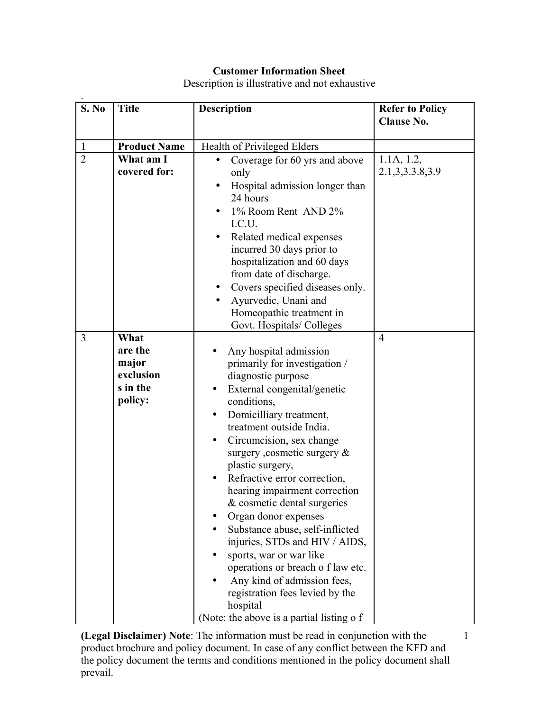## **Customer Information Sheet**

Description is illustrative and not exhaustive

| S. No          | <b>Title</b>                                                 | <b>Description</b>                                                                                                                                                                                                                                                                                                                                                                                                                                                                                                                                                                                                                                                         | <b>Refer to Policy</b><br><b>Clause No.</b> |
|----------------|--------------------------------------------------------------|----------------------------------------------------------------------------------------------------------------------------------------------------------------------------------------------------------------------------------------------------------------------------------------------------------------------------------------------------------------------------------------------------------------------------------------------------------------------------------------------------------------------------------------------------------------------------------------------------------------------------------------------------------------------------|---------------------------------------------|
| $\mathbf{1}$   | <b>Product Name</b>                                          | Health of Privileged Elders                                                                                                                                                                                                                                                                                                                                                                                                                                                                                                                                                                                                                                                |                                             |
| $\overline{2}$ | What am I<br>covered for:                                    | Coverage for 60 yrs and above<br>only<br>Hospital admission longer than<br>24 hours<br>1% Room Rent AND 2%<br>I.C.U.<br>Related medical expenses<br>incurred 30 days prior to<br>hospitalization and 60 days<br>from date of discharge.<br>Covers specified diseases only.<br>Ayurvedic, Unani and<br>Homeopathic treatment in<br>Govt. Hospitals/Colleges                                                                                                                                                                                                                                                                                                                 | 1.1A, 1.2,<br>2.1, 3, 3.3. 8, 3. 9          |
| $\overline{3}$ | What<br>are the<br>major<br>exclusion<br>s in the<br>policy: | Any hospital admission<br>primarily for investigation /<br>diagnostic purpose<br>External congenital/genetic<br>conditions,<br>Domicilliary treatment,<br>treatment outside India.<br>Circumcision, sex change<br>$\bullet$<br>surgery , cosmetic surgery $\&$<br>plastic surgery,<br>Refractive error correction,<br>hearing impairment correction<br>& cosmetic dental surgeries<br>Organ donor expenses<br>Substance abuse, self-inflicted<br>injuries, STDs and HIV / AIDS,<br>sports, war or war like<br>operations or breach o f law etc.<br>Any kind of admission fees,<br>registration fees levied by the<br>hospital<br>(Note: the above is a partial listing o f | $\overline{4}$                              |

**(Legal Disclaimer) Note**: The information must be read in conjunction with the product brochure and policy document. In case of any conflict between the KFD and the policy document the terms and conditions mentioned in the policy document shall prevail.

1